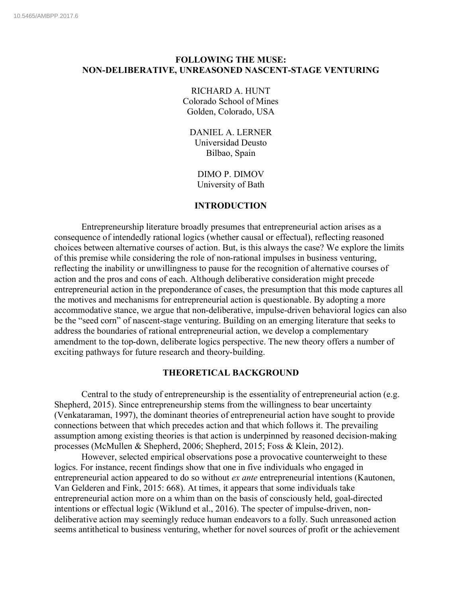## **FOLLOWING THE MUSE: NON-DELIBERATIVE, UNREASONED NASCENT-STAGE VENTURING**

RICHARD A. HUNT Colorado School of Mines Golden, Colorado, USA

DANIEL A. LERNER Universidad Deusto Bilbao, Spain

DIMO P. DIMOV University of Bath

# **INTRODUCTION**

Entrepreneurship literature broadly presumes that entrepreneurial action arises as a consequence of intendedly rational logics (whether causal or effectual), reflecting reasoned choices between alternative courses of action. But, is this always the case? We explore the limits of this premise while considering the role of non-rational impulses in business venturing, reflecting the inability or unwillingness to pause for the recognition of alternative courses of action and the pros and cons of each. Although deliberative consideration might precede entrepreneurial action in the preponderance of cases, the presumption that this mode captures all the motives and mechanisms for entrepreneurial action is questionable. By adopting a more accommodative stance, we argue that non-deliberative, impulse-driven behavioral logics can also be the "seed corn" of nascent-stage venturing. Building on an emerging literature that seeks to address the boundaries of rational entrepreneurial action, we develop a complementary amendment to the top-down, deliberate logics perspective. The new theory offers a number of exciting pathways for future research and theory-building.

#### **THEORETICAL BACKGROUND**

Central to the study of entrepreneurship is the essentiality of entrepreneurial action (e.g. Shepherd, 2015). Since entrepreneurship stems from the willingness to bear uncertainty (Venkataraman, 1997), the dominant theories of entrepreneurial action have sought to provide connections between that which precedes action and that which follows it. The prevailing assumption among existing theories is that action is underpinned by reasoned decision-making processes (McMullen & Shepherd, 2006; Shepherd, 2015; Foss & Klein, 2012).

However, selected empirical observations pose a provocative counterweight to these logics. For instance, recent findings show that one in five individuals who engaged in entrepreneurial action appeared to do so without *ex ante* entrepreneurial intentions (Kautonen, Van Gelderen and Fink, 2015: 668). At times, it appears that some individuals take entrepreneurial action more on a whim than on the basis of consciously held, goal-directed intentions or effectual logic (Wiklund et al., 2016). The specter of impulse-driven, nondeliberative action may seemingly reduce human endeavors to a folly. Such unreasoned action seems antithetical to business venturing, whether for novel sources of profit or the achievement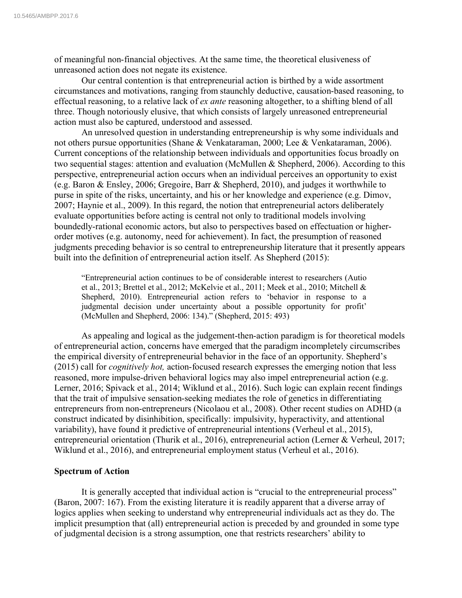of meaningful non-financial objectives. At the same time, the theoretical elusiveness of unreasoned action does not negate its existence.

Our central contention is that entrepreneurial action is birthed by a wide assortment circumstances and motivations, ranging from staunchly deductive, causation-based reasoning, to effectual reasoning, to a relative lack of *ex ante* reasoning altogether, to a shifting blend of all three. Though notoriously elusive, that which consists of largely unreasoned entrepreneurial action must also be captured, understood and assessed.

An unresolved question in understanding entrepreneurship is why some individuals and not others pursue opportunities (Shane & Venkataraman, 2000; Lee & Venkataraman, 2006). Current conceptions of the relationship between individuals and opportunities focus broadly on two sequential stages: attention and evaluation (McMullen & Shepherd, 2006). According to this perspective, entrepreneurial action occurs when an individual perceives an opportunity to exist (e.g. Baron & Ensley, 2006; Gregoire, Barr & Shepherd, 2010), and judges it worthwhile to purse in spite of the risks, uncertainty, and his or her knowledge and experience (e.g. Dimov, 2007; Haynie et al., 2009). In this regard, the notion that entrepreneurial actors deliberately evaluate opportunities before acting is central not only to traditional models involving boundedly-rational economic actors, but also to perspectives based on effectuation or higherorder motives (e.g. autonomy, need for achievement). In fact, the presumption of reasoned judgments preceding behavior is so central to entrepreneurship literature that it presently appears built into the definition of entrepreneurial action itself. As Shepherd (2015):

"Entrepreneurial action continues to be of considerable interest to researchers (Autio et al., 2013; Brettel et al., 2012; McKelvie et al., 2011; Meek et al., 2010; Mitchell & Shepherd, 2010). Entrepreneurial action refers to 'behavior in response to a judgmental decision under uncertainty about a possible opportunity for profit' (McMullen and Shepherd, 2006: 134)." (Shepherd, 2015: 493)

 As appealing and logical as the judgement-then-action paradigm is for theoretical models of entrepreneurial action, concerns have emerged that the paradigm incompletely circumscribes the empirical diversity of entrepreneurial behavior in the face of an opportunity. Shepherd's (2015) call for *cognitively hot,* action-focused research expresses the emerging notion that less reasoned, more impulse-driven behavioral logics may also impel entrepreneurial action (e.g. Lerner, 2016; Spivack et al., 2014; Wiklund et al., 2016). Such logic can explain recent findings that the trait of impulsive sensation-seeking mediates the role of genetics in differentiating entrepreneurs from non-entrepreneurs (Nicolaou et al., 2008). Other recent studies on ADHD (a construct indicated by disinhibition, specifically: impulsivity, hyperactivity, and attentional variability), have found it predictive of entrepreneurial intentions (Verheul et al., 2015), entrepreneurial orientation (Thurik et al., 2016), entrepreneurial action (Lerner & Verheul, 2017; Wiklund et al., 2016), and entrepreneurial employment status (Verheul et al., 2016).

## **Spectrum of Action**

It is generally accepted that individual action is "crucial to the entrepreneurial process" (Baron, 2007: 167). From the existing literature it is readily apparent that a diverse array of logics applies when seeking to understand why entrepreneurial individuals act as they do. The implicit presumption that (all) entrepreneurial action is preceded by and grounded in some type of judgmental decision is a strong assumption, one that restricts researchers' ability to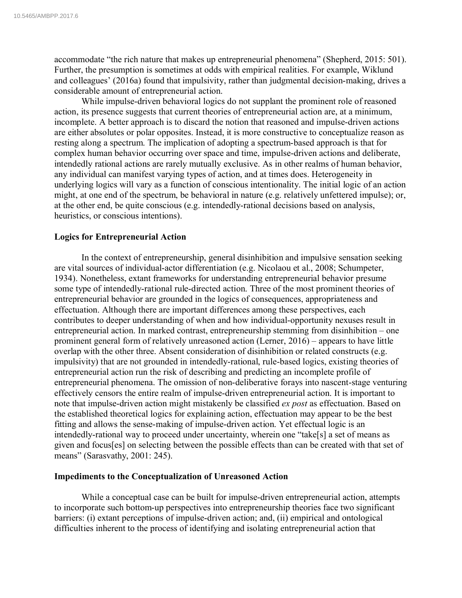accommodate "the rich nature that makes up entrepreneurial phenomena" (Shepherd, 2015: 501). Further, the presumption is sometimes at odds with empirical realities. For example, Wiklund and colleagues' (2016a) found that impulsivity, rather than judgmental decision-making, drives a considerable amount of entrepreneurial action.

While impulse-driven behavioral logics do not supplant the prominent role of reasoned action, its presence suggests that current theories of entrepreneurial action are, at a minimum, incomplete. A better approach is to discard the notion that reasoned and impulse-driven actions are either absolutes or polar opposites. Instead, it is more constructive to conceptualize reason as resting along a spectrum. The implication of adopting a spectrum-based approach is that for complex human behavior occurring over space and time, impulse-driven actions and deliberate, intendedly rational actions are rarely mutually exclusive. As in other realms of human behavior, any individual can manifest varying types of action, and at times does. Heterogeneity in underlying logics will vary as a function of conscious intentionality. The initial logic of an action might, at one end of the spectrum, be behavioral in nature (e.g. relatively unfettered impulse); or, at the other end, be quite conscious (e.g. intendedly-rational decisions based on analysis, heuristics, or conscious intentions).

# **Logics for Entrepreneurial Action**

In the context of entrepreneurship, general disinhibition and impulsive sensation seeking are vital sources of individual-actor differentiation (e.g. Nicolaou et al., 2008; Schumpeter, 1934). Nonetheless, extant frameworks for understanding entrepreneurial behavior presume some type of intendedly-rational rule-directed action. Three of the most prominent theories of entrepreneurial behavior are grounded in the logics of consequences, appropriateness and effectuation. Although there are important differences among these perspectives, each contributes to deeper understanding of when and how individual-opportunity nexuses result in entrepreneurial action. In marked contrast, entrepreneurship stemming from disinhibition – one prominent general form of relatively unreasoned action (Lerner, 2016) – appears to have little overlap with the other three. Absent consideration of disinhibition or related constructs (e.g. impulsivity) that are not grounded in intendedly-rational, rule-based logics, existing theories of entrepreneurial action run the risk of describing and predicting an incomplete profile of entrepreneurial phenomena. The omission of non-deliberative forays into nascent-stage venturing effectively censors the entire realm of impulse-driven entrepreneurial action. It is important to note that impulse-driven action might mistakenly be classified *ex post* as effectuation. Based on the established theoretical logics for explaining action, effectuation may appear to be the best fitting and allows the sense-making of impulse-driven action. Yet effectual logic is an intendedly-rational way to proceed under uncertainty, wherein one "take[s] a set of means as given and focus[es] on selecting between the possible effects than can be created with that set of means" (Sarasvathy, 2001: 245).

#### **Impediments to the Conceptualization of Unreasoned Action**

While a conceptual case can be built for impulse-driven entrepreneurial action, attempts to incorporate such bottom-up perspectives into entrepreneurship theories face two significant barriers: (i) extant perceptions of impulse-driven action; and, (ii) empirical and ontological difficulties inherent to the process of identifying and isolating entrepreneurial action that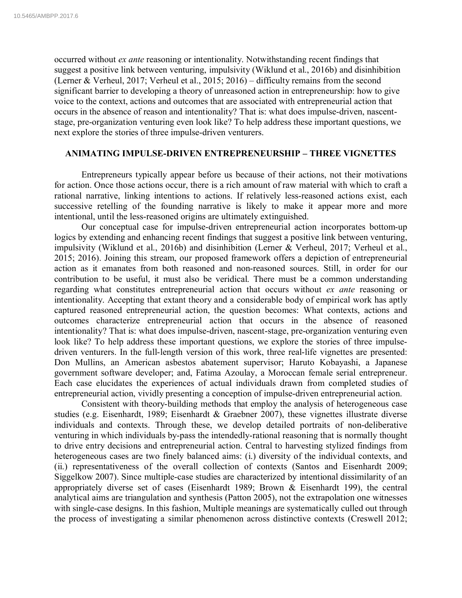occurred without *ex ante* reasoning or intentionality. Notwithstanding recent findings that suggest a positive link between venturing, impulsivity (Wiklund et al., 2016b) and disinhibition (Lerner & Verheul, 2017; Verheul et al., 2015; 2016) – difficulty remains from the second significant barrier to developing a theory of unreasoned action in entrepreneurship: how to give voice to the context, actions and outcomes that are associated with entrepreneurial action that occurs in the absence of reason and intentionality? That is: what does impulse-driven, nascentstage, pre-organization venturing even look like? To help address these important questions, we next explore the stories of three impulse-driven venturers.

## **ANIMATING IMPULSE-DRIVEN ENTREPRENEURSHIP – THREE VIGNETTES**

Entrepreneurs typically appear before us because of their actions, not their motivations for action. Once those actions occur, there is a rich amount of raw material with which to craft a rational narrative, linking intentions to actions. If relatively less-reasoned actions exist, each successive retelling of the founding narrative is likely to make it appear more and more intentional, until the less-reasoned origins are ultimately extinguished.

Our conceptual case for impulse-driven entrepreneurial action incorporates bottom-up logics by extending and enhancing recent findings that suggest a positive link between venturing, impulsivity (Wiklund et al., 2016b) and disinhibition (Lerner & Verheul, 2017; Verheul et al., 2015; 2016). Joining this stream, our proposed framework offers a depiction of entrepreneurial action as it emanates from both reasoned and non-reasoned sources. Still, in order for our contribution to be useful, it must also be veridical. There must be a common understanding regarding what constitutes entrepreneurial action that occurs without *ex ante* reasoning or intentionality. Accepting that extant theory and a considerable body of empirical work has aptly captured reasoned entrepreneurial action, the question becomes: What contexts, actions and outcomes characterize entrepreneurial action that occurs in the absence of reasoned intentionality? That is: what does impulse-driven, nascent-stage, pre-organization venturing even look like? To help address these important questions, we explore the stories of three impulsedriven venturers. In the full-length version of this work, three real-life vignettes are presented: Don Mullins, an American asbestos abatement supervisor; Haruto Kobayashi, a Japanese government software developer; and, Fatima Azoulay, a Moroccan female serial entrepreneur. Each case elucidates the experiences of actual individuals drawn from completed studies of entrepreneurial action, vividly presenting a conception of impulse-driven entrepreneurial action.

Consistent with theory-building methods that employ the analysis of heterogeneous case studies (e.g. Eisenhardt, 1989; Eisenhardt & Graebner 2007), these vignettes illustrate diverse individuals and contexts. Through these, we develop detailed portraits of non-deliberative venturing in which individuals by-pass the intendedly-rational reasoning that is normally thought to drive entry decisions and entrepreneurial action. Central to harvesting stylized findings from heterogeneous cases are two finely balanced aims: (i.) diversity of the individual contexts, and (ii.) representativeness of the overall collection of contexts (Santos and Eisenhardt 2009; Siggelkow 2007). Since multiple-case studies are characterized by intentional dissimilarity of an appropriately diverse set of cases (Eisenhardt 1989; Brown & Eisenhardt 199), the central analytical aims are triangulation and synthesis (Patton 2005), not the extrapolation one witnesses with single-case designs. In this fashion, Multiple meanings are systematically culled out through the process of investigating a similar phenomenon across distinctive contexts (Creswell 2012;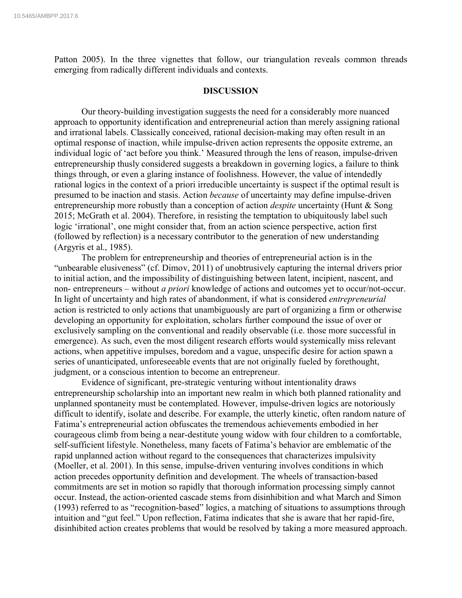Patton 2005). In the three vignettes that follow, our triangulation reveals common threads emerging from radically different individuals and contexts.

## **DISCUSSION**

Our theory-building investigation suggests the need for a considerably more nuanced approach to opportunity identification and entrepreneurial action than merely assigning rational and irrational labels. Classically conceived, rational decision-making may often result in an optimal response of inaction, while impulse-driven action represents the opposite extreme, an individual logic of 'act before you think.' Measured through the lens of reason, impulse-driven entrepreneurship thusly considered suggests a breakdown in governing logics, a failure to think things through, or even a glaring instance of foolishness. However, the value of intendedly rational logics in the context of a priori irreducible uncertainty is suspect if the optimal result is presumed to be inaction and stasis. Action *because* of uncertainty may define impulse-driven entrepreneurship more robustly than a conception of action *despite* uncertainty (Hunt & Song 2015; McGrath et al. 2004). Therefore, in resisting the temptation to ubiquitously label such logic 'irrational', one might consider that, from an action science perspective, action first (followed by reflection) is a necessary contributor to the generation of new understanding (Argyris et al., 1985).

The problem for entrepreneurship and theories of entrepreneurial action is in the "unbearable elusiveness" (cf. Dimov, 2011) of unobtrusively capturing the internal drivers prior to initial action, and the impossibility of distinguishing between latent, incipient, nascent, and non- entrepreneurs – without *a priori* knowledge of actions and outcomes yet to occur/not-occur. In light of uncertainty and high rates of abandonment, if what is considered *entrepreneurial* action is restricted to only actions that unambiguously are part of organizing a firm or otherwise developing an opportunity for exploitation, scholars further compound the issue of over or exclusively sampling on the conventional and readily observable (i.e. those more successful in emergence). As such, even the most diligent research efforts would systemically miss relevant actions, when appetitive impulses, boredom and a vague, unspecific desire for action spawn a series of unanticipated, unforeseeable events that are not originally fueled by forethought, judgment, or a conscious intention to become an entrepreneur.

Evidence of significant, pre-strategic venturing without intentionality draws entrepreneurship scholarship into an important new realm in which both planned rationality and unplanned spontaneity must be contemplated. However, impulse-driven logics are notoriously difficult to identify, isolate and describe. For example, the utterly kinetic, often random nature of Fatima's entrepreneurial action obfuscates the tremendous achievements embodied in her courageous climb from being a near-destitute young widow with four children to a comfortable, self-sufficient lifestyle. Nonetheless, many facets of Fatima's behavior are emblematic of the rapid unplanned action without regard to the consequences that characterizes impulsivity (Moeller, et al. 2001). In this sense, impulse-driven venturing involves conditions in which action precedes opportunity definition and development. The wheels of transaction-based commitments are set in motion so rapidly that thorough information processing simply cannot occur. Instead, the action-oriented cascade stems from disinhibition and what March and Simon (1993) referred to as "recognition-based" logics, a matching of situations to assumptions through intuition and "gut feel." Upon reflection, Fatima indicates that she is aware that her rapid-fire, disinhibited action creates problems that would be resolved by taking a more measured approach.